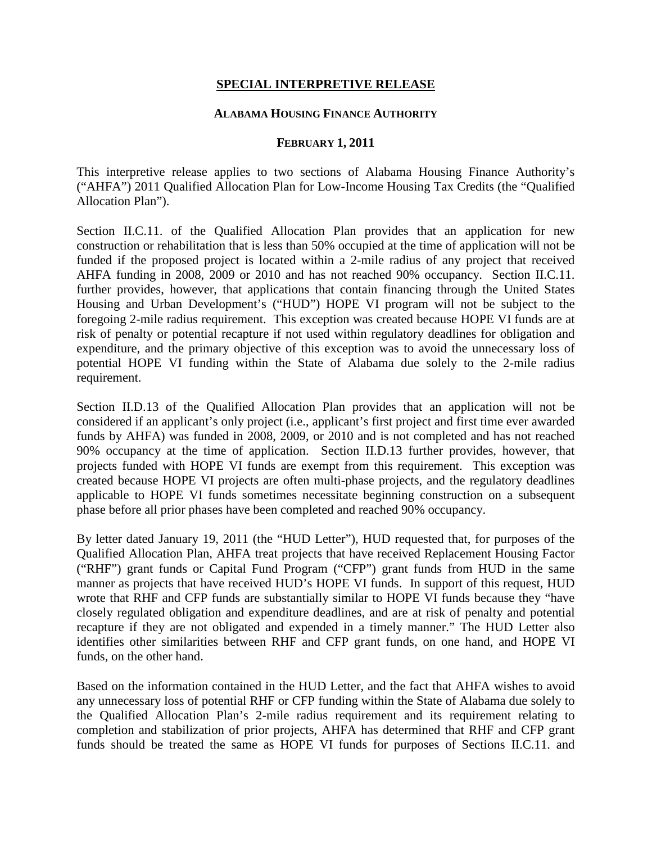## **SPECIAL INTERPRETIVE RELEASE**

## **ALABAMA HOUSING FINANCE AUTHORITY**

## **FEBRUARY 1, 2011**

This interpretive release applies to two sections of Alabama Housing Finance Authority's ("AHFA") 2011 Qualified Allocation Plan for Low-Income Housing Tax Credits (the "Qualified Allocation Plan").

Section II.C.11. of the Qualified Allocation Plan provides that an application for new construction or rehabilitation that is less than 50% occupied at the time of application will not be funded if the proposed project is located within a 2-mile radius of any project that received AHFA funding in 2008, 2009 or 2010 and has not reached 90% occupancy. Section II.C.11. further provides, however, that applications that contain financing through the United States Housing and Urban Development's ("HUD") HOPE VI program will not be subject to the foregoing 2-mile radius requirement. This exception was created because HOPE VI funds are at risk of penalty or potential recapture if not used within regulatory deadlines for obligation and expenditure, and the primary objective of this exception was to avoid the unnecessary loss of potential HOPE VI funding within the State of Alabama due solely to the 2-mile radius requirement.

Section II.D.13 of the Qualified Allocation Plan provides that an application will not be considered if an applicant's only project (i.e., applicant's first project and first time ever awarded funds by AHFA) was funded in 2008, 2009, or 2010 and is not completed and has not reached 90% occupancy at the time of application. Section II.D.13 further provides, however, that projects funded with HOPE VI funds are exempt from this requirement. This exception was created because HOPE VI projects are often multi-phase projects, and the regulatory deadlines applicable to HOPE VI funds sometimes necessitate beginning construction on a subsequent phase before all prior phases have been completed and reached 90% occupancy.

By letter dated January 19, 2011 (the "HUD Letter"), HUD requested that, for purposes of the Qualified Allocation Plan, AHFA treat projects that have received Replacement Housing Factor ("RHF") grant funds or Capital Fund Program ("CFP") grant funds from HUD in the same manner as projects that have received HUD's HOPE VI funds. In support of this request, HUD wrote that RHF and CFP funds are substantially similar to HOPE VI funds because they "have closely regulated obligation and expenditure deadlines, and are at risk of penalty and potential recapture if they are not obligated and expended in a timely manner." The HUD Letter also identifies other similarities between RHF and CFP grant funds, on one hand, and HOPE VI funds, on the other hand.

Based on the information contained in the HUD Letter, and the fact that AHFA wishes to avoid any unnecessary loss of potential RHF or CFP funding within the State of Alabama due solely to the Qualified Allocation Plan's 2-mile radius requirement and its requirement relating to completion and stabilization of prior projects, AHFA has determined that RHF and CFP grant funds should be treated the same as HOPE VI funds for purposes of Sections II.C.11. and